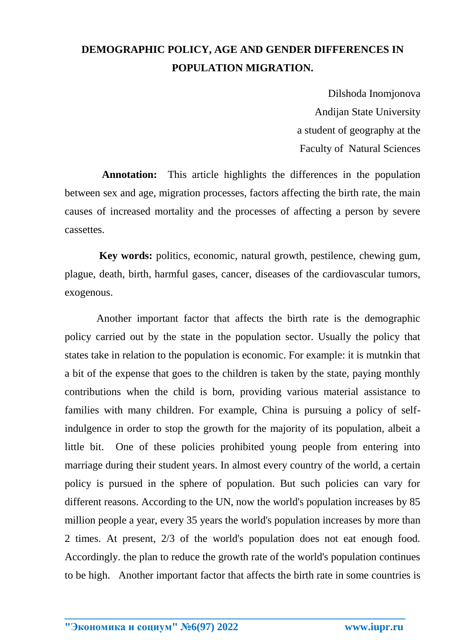## **DEMOGRAPHIC POLICY, AGE AND GENDER DIFFERENCES IN POPULATION MIGRATION.**

 Dilshoda Inomjonova Andijan State University a student of geography at the Faculty of Natural Sciences

 **Annotation:** This article highlights the differences in the population between sex and age, migration processes, factors affecting the birth rate, the main causes of increased mortality and the processes of affecting a person by severe cassettes.

 **Key words:** politics, economic, natural growth, pestilence, chewing gum, plague, death, birth, harmful gases, cancer, diseases of the cardiovascular tumors, exogenous.

 Another important factor that affects the birth rate is the demographic policy carried out by the state in the population sector. Usually the policy that states take in relation to the population is economic. For example: it is mutnkin that a bit of the expense that goes to the children is taken by the state, paying monthly contributions when the child is born, providing various material assistance to families with many children. For example, China is pursuing a policy of selfindulgence in order to stop the growth for the majority of its population, albeit a little bit. One of these policies prohibited young people from entering into marriage during their student years. In almost every country of the world, a certain policy is pursued in the sphere of population. But such policies can vary for different reasons. According to the UN, now the world's population increases by 85 million people a year, every 35 years the world's population increases by more than 2 times. At present, 2/3 of the world's population does not eat enough food. Accordingly. the plan to reduce the growth rate of the world's population continues to be high. Another important factor that affects the birth rate in some countries is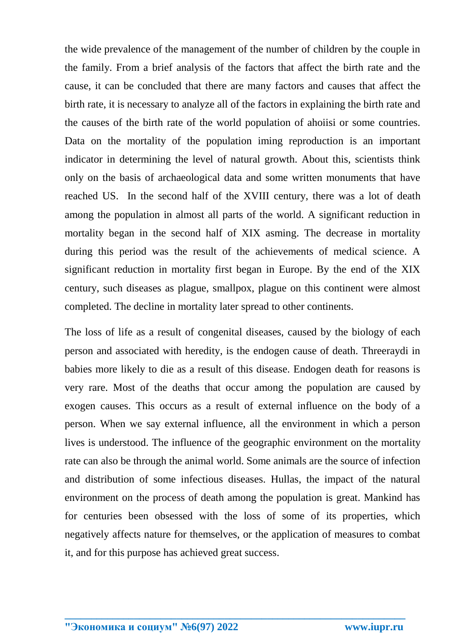the wide prevalence of the management of the number of children by the couple in the family. From a brief analysis of the factors that affect the birth rate and the cause, it can be concluded that there are many factors and causes that affect the birth rate, it is necessary to analyze all of the factors in explaining the birth rate and the causes of the birth rate of the world population of ahoiisi or some countries. Data on the mortality of the population iming reproduction is an important indicator in determining the level of natural growth. About this, scientists think only on the basis of archaeological data and some written monuments that have reached US. In the second half of the XVIII century, there was a lot of death among the population in almost all parts of the world. A significant reduction in mortality began in the second half of XIX asming. The decrease in mortality during this period was the result of the achievements of medical science. A significant reduction in mortality first began in Europe. By the end of the XIX century, such diseases as plague, smallpox, plague on this continent were almost completed. The decline in mortality later spread to other continents.

The loss of life as a result of congenital diseases, caused by the biology of each person and associated with heredity, is the endogen cause of death. Threeraydi in babies more likely to die as a result of this disease. Endogen death for reasons is very rare. Most of the deaths that occur among the population are caused by exogen causes. This occurs as a result of external influence on the body of a person. When we say external influence, all the environment in which a person lives is understood. The influence of the geographic environment on the mortality rate can also be through the animal world. Some animals are the source of infection and distribution of some infectious diseases. Hullas, the impact of the natural environment on the process of death among the population is great. Mankind has for centuries been obsessed with the loss of some of its properties, which negatively affects nature for themselves, or the application of measures to combat it, and for this purpose has achieved great success.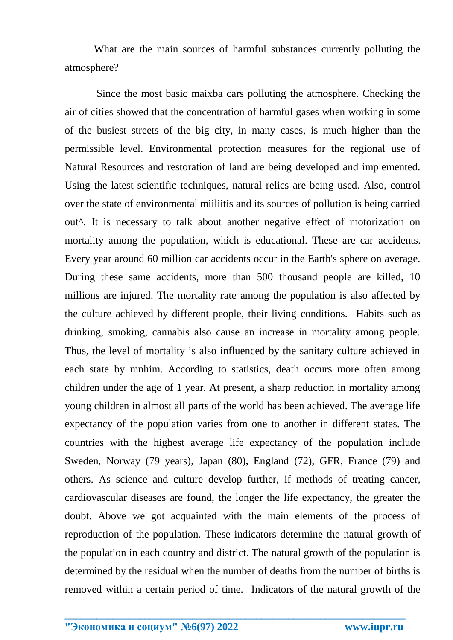What are the main sources of harmful substances currently polluting the atmosphere?

 Since the most basic maixba cars polluting the atmosphere. Checking the air of cities showed that the concentration of harmful gases when working in some of the busiest streets of the big city, in many cases, is much higher than the permissible level. Environmental protection measures for the regional use of Natural Resources and restoration of land are being developed and implemented. Using the latest scientific techniques, natural relics are being used. Also, control over the state of environmental miiliitis and its sources of pollution is being carried out^. It is necessary to talk about another negative effect of motorization on mortality among the population, which is educational. These are car accidents. Every year around 60 million car accidents occur in the Earth's sphere on average. During these same accidents, more than 500 thousand people are killed, 10 millions are injured. The mortality rate among the population is also affected by the culture achieved by different people, their living conditions. Habits such as drinking, smoking, cannabis also cause an increase in mortality among people. Thus, the level of mortality is also influenced by the sanitary culture achieved in each state by mnhim. According to statistics, death occurs more often among children under the age of 1 year. At present, a sharp reduction in mortality among young children in almost all parts of the world has been achieved. The average life expectancy of the population varies from one to another in different states. The countries with the highest average life expectancy of the population include Sweden, Norway (79 years), Japan (80), England (72), GFR, France (79) and others. As science and culture develop further, if methods of treating cancer, cardiovascular diseases are found, the longer the life expectancy, the greater the doubt. Above we got acquainted with the main elements of the process of reproduction of the population. These indicators determine the natural growth of the population in each country and district. The natural growth of the population is determined by the residual when the number of deaths from the number of births is removed within a certain period of time. Indicators of the natural growth of the